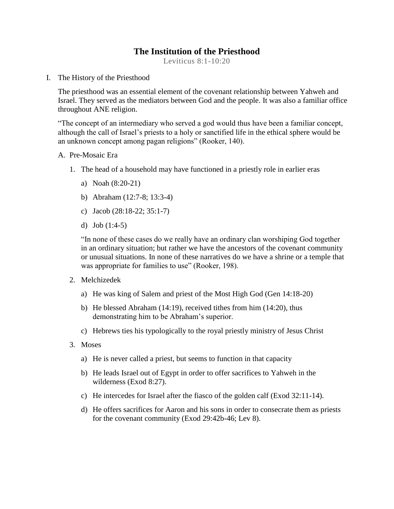# **The Institution of the Priesthood**

Leviticus 8:1-10:20

I. The History of the Priesthood

The priesthood was an essential element of the covenant relationship between Yahweh and Israel. They served as the mediators between God and the people. It was also a familiar office throughout ANE religion.

"The concept of an intermediary who served a god would thus have been a familiar concept, although the call of Israel's priests to a holy or sanctified life in the ethical sphere would be an unknown concept among pagan religions" (Rooker, 140).

#### A. Pre-Mosaic Era

- 1. The head of a household may have functioned in a priestly role in earlier eras
	- a) Noah (8:20-21)
	- b) Abraham (12:7-8; 13:3-4)
	- c) Jacob (28:18-22; 35:1-7)
	- d) Job (1:4-5)

"In none of these cases do we really have an ordinary clan worshiping God together in an ordinary situation; but rather we have the ancestors of the covenant community or unusual situations. In none of these narratives do we have a shrine or a temple that was appropriate for families to use" (Rooker, 198).

- 2. Melchizedek
	- a) He was king of Salem and priest of the Most High God (Gen 14:18-20)
	- b) He blessed Abraham (14:19), received tithes from him (14:20), thus demonstrating him to be Abraham's superior.
	- c) Hebrews ties his typologically to the royal priestly ministry of Jesus Christ
- 3. Moses
	- a) He is never called a priest, but seems to function in that capacity
	- b) He leads Israel out of Egypt in order to offer sacrifices to Yahweh in the wilderness (Exod 8:27).
	- c) He intercedes for Israel after the fiasco of the golden calf (Exod 32:11-14).
	- d) He offers sacrifices for Aaron and his sons in order to consecrate them as priests for the covenant community (Exod 29:42b-46; Lev 8).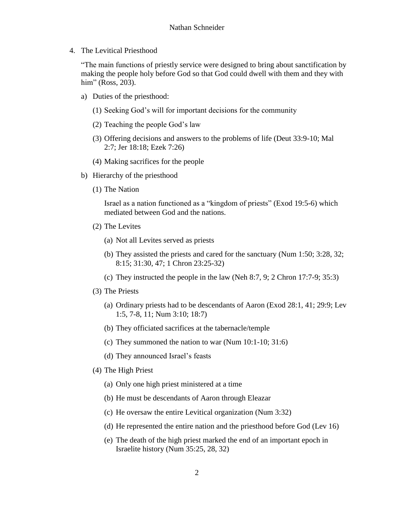4. The Levitical Priesthood

"The main functions of priestly service were designed to bring about sanctification by making the people holy before God so that God could dwell with them and they with him" (Ross, 203).

- a) Duties of the priesthood:
	- (1) Seeking God's will for important decisions for the community
	- (2) Teaching the people God's law
	- (3) Offering decisions and answers to the problems of life (Deut 33:9-10; Mal 2:7; Jer 18:18; Ezek 7:26)
	- (4) Making sacrifices for the people
- b) Hierarchy of the priesthood
	- (1) The Nation

Israel as a nation functioned as a "kingdom of priests" (Exod 19:5-6) which mediated between God and the nations.

- (2) The Levites
	- (a) Not all Levites served as priests
	- (b) They assisted the priests and cared for the sanctuary (Num 1:50; 3:28, 32; 8:15; 31:30, 47; 1 Chron 23:25-32)
	- (c) They instructed the people in the law (Neh 8:7, 9; 2 Chron 17:7-9; 35:3)
- (3) The Priests
	- (a) Ordinary priests had to be descendants of Aaron (Exod 28:1, 41; 29:9; Lev 1:5, 7-8, 11; Num 3:10; 18:7)
	- (b) They officiated sacrifices at the tabernacle/temple
	- (c) They summoned the nation to war (Num 10:1-10; 31:6)
	- (d) They announced Israel's feasts
- (4) The High Priest
	- (a) Only one high priest ministered at a time
	- (b) He must be descendants of Aaron through Eleazar
	- (c) He oversaw the entire Levitical organization (Num 3:32)
	- (d) He represented the entire nation and the priesthood before God (Lev 16)
	- (e) The death of the high priest marked the end of an important epoch in Israelite history (Num 35:25, 28, 32)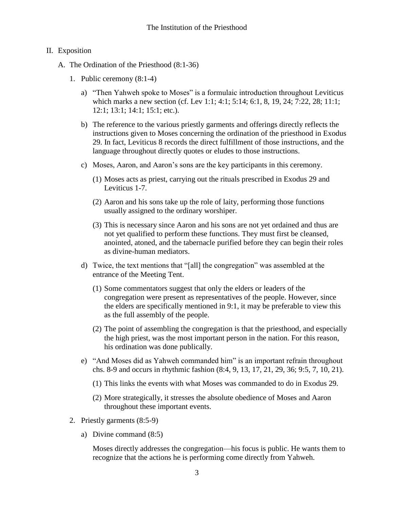#### II. Exposition

- A. The Ordination of the Priesthood (8:1-36)
	- 1. Public ceremony (8:1-4)
		- a) "Then Yahweh spoke to Moses" is a formulaic introduction throughout Leviticus which marks a new section (cf. Lev 1:1; 4:1; 5:14; 6:1, 8, 19, 24; 7:22, 28; 11:1; 12:1; 13:1; 14:1; 15:1; etc.).
		- b) The reference to the various priestly garments and offerings directly reflects the instructions given to Moses concerning the ordination of the priesthood in Exodus 29. In fact, Leviticus 8 records the direct fulfillment of those instructions, and the language throughout directly quotes or eludes to those instructions.
		- c) Moses, Aaron, and Aaron's sons are the key participants in this ceremony.
			- (1) Moses acts as priest, carrying out the rituals prescribed in Exodus 29 and Leviticus 1-7.
			- (2) Aaron and his sons take up the role of laity, performing those functions usually assigned to the ordinary worshiper.
			- (3) This is necessary since Aaron and his sons are not yet ordained and thus are not yet qualified to perform these functions. They must first be cleansed, anointed, atoned, and the tabernacle purified before they can begin their roles as divine-human mediators.
		- d) Twice, the text mentions that "[all] the congregation" was assembled at the entrance of the Meeting Tent.
			- (1) Some commentators suggest that only the elders or leaders of the congregation were present as representatives of the people. However, since the elders are specifically mentioned in 9:1, it may be preferable to view this as the full assembly of the people.
			- (2) The point of assembling the congregation is that the priesthood, and especially the high priest, was the most important person in the nation. For this reason, his ordination was done publically.
		- e) "And Moses did as Yahweh commanded him" is an important refrain throughout chs. 8-9 and occurs in rhythmic fashion (8:4, 9, 13, 17, 21, 29, 36; 9:5, 7, 10, 21).
			- (1) This links the events with what Moses was commanded to do in Exodus 29.
			- (2) More strategically, it stresses the absolute obedience of Moses and Aaron throughout these important events.
	- 2. Priestly garments (8:5-9)
		- a) Divine command (8:5)

Moses directly addresses the congregation—his focus is public. He wants them to recognize that the actions he is performing come directly from Yahweh.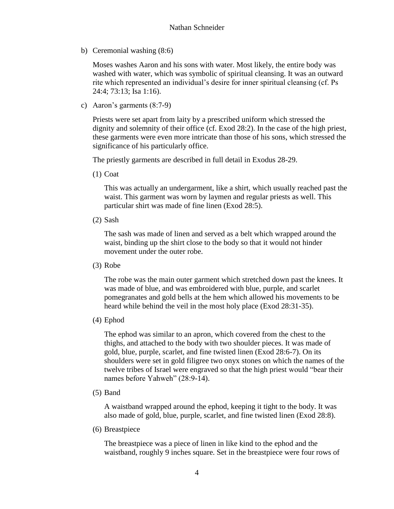b) Ceremonial washing (8:6)

Moses washes Aaron and his sons with water. Most likely, the entire body was washed with water, which was symbolic of spiritual cleansing. It was an outward rite which represented an individual's desire for inner spiritual cleansing (cf. Ps 24:4; 73:13; Isa 1:16).

c) Aaron's garments (8:7-9)

Priests were set apart from laity by a prescribed uniform which stressed the dignity and solemnity of their office (cf. Exod 28:2). In the case of the high priest, these garments were even more intricate than those of his sons, which stressed the significance of his particularly office.

The priestly garments are described in full detail in Exodus 28-29.

(1) Coat

This was actually an undergarment, like a shirt, which usually reached past the waist. This garment was worn by laymen and regular priests as well. This particular shirt was made of fine linen (Exod 28:5).

(2) Sash

The sash was made of linen and served as a belt which wrapped around the waist, binding up the shirt close to the body so that it would not hinder movement under the outer robe.

(3) Robe

The robe was the main outer garment which stretched down past the knees. It was made of blue, and was embroidered with blue, purple, and scarlet pomegranates and gold bells at the hem which allowed his movements to be heard while behind the veil in the most holy place (Exod 28:31-35).

(4) Ephod

The ephod was similar to an apron, which covered from the chest to the thighs, and attached to the body with two shoulder pieces. It was made of gold, blue, purple, scarlet, and fine twisted linen (Exod 28:6-7). On its shoulders were set in gold filigree two onyx stones on which the names of the twelve tribes of Israel were engraved so that the high priest would "bear their names before Yahweh" (28:9-14).

(5) Band

A waistband wrapped around the ephod, keeping it tight to the body. It was also made of gold, blue, purple, scarlet, and fine twisted linen (Exod 28:8).

(6) Breastpiece

The breastpiece was a piece of linen in like kind to the ephod and the waistband, roughly 9 inches square. Set in the breastpiece were four rows of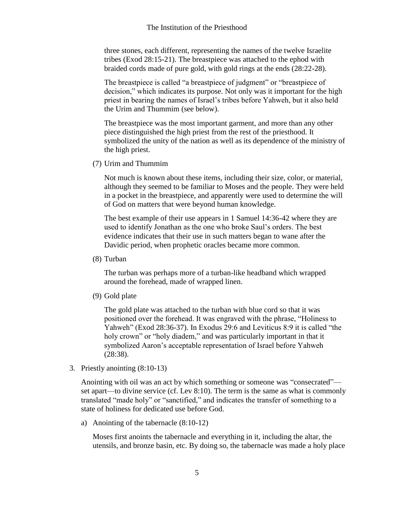three stones, each different, representing the names of the twelve Israelite tribes (Exod 28:15-21). The breastpiece was attached to the ephod with braided cords made of pure gold, with gold rings at the ends (28:22-28).

The breastpiece is called "a breastpiece of judgment" or "breastpiece of decision," which indicates its purpose. Not only was it important for the high priest in bearing the names of Israel's tribes before Yahweh, but it also held the Urim and Thummim (see below).

The breastpiece was the most important garment, and more than any other piece distinguished the high priest from the rest of the priesthood. It symbolized the unity of the nation as well as its dependence of the ministry of the high priest.

(7) Urim and Thummim

Not much is known about these items, including their size, color, or material, although they seemed to be familiar to Moses and the people. They were held in a pocket in the breastpiece, and apparently were used to determine the will of God on matters that were beyond human knowledge.

The best example of their use appears in 1 Samuel 14:36-42 where they are used to identify Jonathan as the one who broke Saul's orders. The best evidence indicates that their use in such matters began to wane after the Davidic period, when prophetic oracles became more common.

(8) Turban

The turban was perhaps more of a turban-like headband which wrapped around the forehead, made of wrapped linen.

(9) Gold plate

The gold plate was attached to the turban with blue cord so that it was positioned over the forehead. It was engraved with the phrase, "Holiness to Yahweh" (Exod 28:36-37). In Exodus 29:6 and Leviticus 8:9 it is called "the holy crown" or "holy diadem," and was particularly important in that it symbolized Aaron's acceptable representation of Israel before Yahweh (28:38).

3. Priestly anointing (8:10-13)

Anointing with oil was an act by which something or someone was "consecrated" set apart—to divine service (cf. Lev 8:10). The term is the same as what is commonly translated "made holy" or "sanctified," and indicates the transfer of something to a state of holiness for dedicated use before God.

a) Anointing of the tabernacle (8:10-12)

Moses first anoints the tabernacle and everything in it, including the altar, the utensils, and bronze basin, etc. By doing so, the tabernacle was made a holy place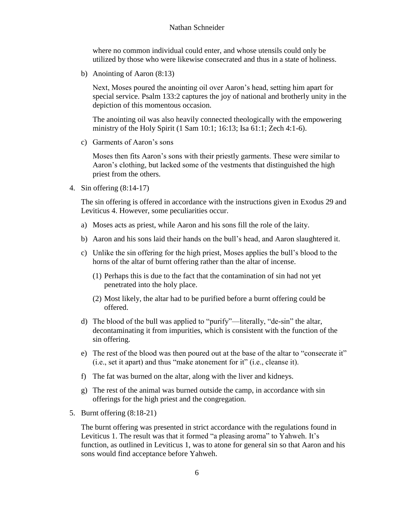#### Nathan Schneider

where no common individual could enter, and whose utensils could only be utilized by those who were likewise consecrated and thus in a state of holiness.

b) Anointing of Aaron (8:13)

Next, Moses poured the anointing oil over Aaron's head, setting him apart for special service. Psalm 133:2 captures the joy of national and brotherly unity in the depiction of this momentous occasion.

The anointing oil was also heavily connected theologically with the empowering ministry of the Holy Spirit (1 Sam 10:1; 16:13; Isa 61:1; Zech 4:1-6).

c) Garments of Aaron's sons

Moses then fits Aaron's sons with their priestly garments. These were similar to Aaron's clothing, but lacked some of the vestments that distinguished the high priest from the others.

4. Sin offering (8:14-17)

The sin offering is offered in accordance with the instructions given in Exodus 29 and Leviticus 4. However, some peculiarities occur.

- a) Moses acts as priest, while Aaron and his sons fill the role of the laity.
- b) Aaron and his sons laid their hands on the bull's head, and Aaron slaughtered it.
- c) Unlike the sin offering for the high priest, Moses applies the bull's blood to the horns of the altar of burnt offering rather than the altar of incense.
	- (1) Perhaps this is due to the fact that the contamination of sin had not yet penetrated into the holy place.
	- (2) Most likely, the altar had to be purified before a burnt offering could be offered.
- d) The blood of the bull was applied to "purify"—literally, "de-sin" the altar, decontaminating it from impurities, which is consistent with the function of the sin offering.
- e) The rest of the blood was then poured out at the base of the altar to "consecrate it" (i.e., set it apart) and thus "make atonement for it" (i.e., cleanse it).
- f) The fat was burned on the altar, along with the liver and kidneys.
- g) The rest of the animal was burned outside the camp, in accordance with sin offerings for the high priest and the congregation.
- 5. Burnt offering (8:18-21)

The burnt offering was presented in strict accordance with the regulations found in Leviticus 1. The result was that it formed "a pleasing aroma" to Yahweh. It's function, as outlined in Leviticus 1, was to atone for general sin so that Aaron and his sons would find acceptance before Yahweh.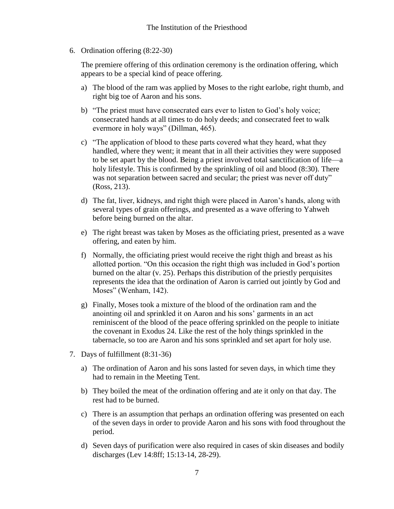6. Ordination offering (8:22-30)

The premiere offering of this ordination ceremony is the ordination offering, which appears to be a special kind of peace offering.

- a) The blood of the ram was applied by Moses to the right earlobe, right thumb, and right big toe of Aaron and his sons.
- b) "The priest must have consecrated ears ever to listen to God's holy voice; consecrated hands at all times to do holy deeds; and consecrated feet to walk evermore in holy ways" (Dillman, 465).
- c) "The application of blood to these parts covered what they heard, what they handled, where they went; it meant that in all their activities they were supposed to be set apart by the blood. Being a priest involved total sanctification of life—a holy lifestyle. This is confirmed by the sprinkling of oil and blood (8:30). There was not separation between sacred and secular; the priest was never off duty" (Ross, 213).
- d) The fat, liver, kidneys, and right thigh were placed in Aaron's hands, along with several types of grain offerings, and presented as a wave offering to Yahweh before being burned on the altar.
- e) The right breast was taken by Moses as the officiating priest, presented as a wave offering, and eaten by him.
- f) Normally, the officiating priest would receive the right thigh and breast as his allotted portion. "On this occasion the right thigh was included in God's portion burned on the altar (v. 25). Perhaps this distribution of the priestly perquisites represents the idea that the ordination of Aaron is carried out jointly by God and Moses" (Wenham, 142).
- g) Finally, Moses took a mixture of the blood of the ordination ram and the anointing oil and sprinkled it on Aaron and his sons' garments in an act reminiscent of the blood of the peace offering sprinkled on the people to initiate the covenant in Exodus 24. Like the rest of the holy things sprinkled in the tabernacle, so too are Aaron and his sons sprinkled and set apart for holy use.
- 7. Days of fulfillment (8:31-36)
	- a) The ordination of Aaron and his sons lasted for seven days, in which time they had to remain in the Meeting Tent.
	- b) They boiled the meat of the ordination offering and ate it only on that day. The rest had to be burned.
	- c) There is an assumption that perhaps an ordination offering was presented on each of the seven days in order to provide Aaron and his sons with food throughout the period.
	- d) Seven days of purification were also required in cases of skin diseases and bodily discharges (Lev 14:8ff; 15:13-14, 28-29).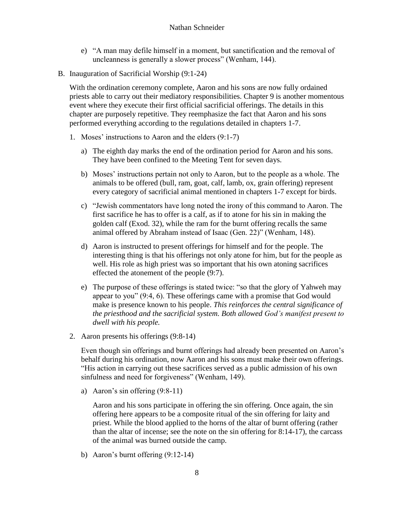- e) "A man may defile himself in a moment, but sanctification and the removal of uncleanness is generally a slower process" (Wenham, 144).
- B. Inauguration of Sacrificial Worship (9:1-24)

With the ordination ceremony complete, Aaron and his sons are now fully ordained priests able to carry out their mediatory responsibilities. Chapter 9 is another momentous event where they execute their first official sacrificial offerings. The details in this chapter are purposely repetitive. They reemphasize the fact that Aaron and his sons performed everything according to the regulations detailed in chapters 1-7.

- 1. Moses' instructions to Aaron and the elders (9:1-7)
	- a) The eighth day marks the end of the ordination period for Aaron and his sons. They have been confined to the Meeting Tent for seven days.
	- b) Moses' instructions pertain not only to Aaron, but to the people as a whole. The animals to be offered (bull, ram, goat, calf, lamb, ox, grain offering) represent every category of sacrificial animal mentioned in chapters 1-7 except for birds.
	- c) "Jewish commentators have long noted the irony of this command to Aaron. The first sacrifice he has to offer is a calf, as if to atone for his sin in making the golden calf (Exod. 32), while the ram for the burnt offering recalls the same animal offered by Abraham instead of Isaac (Gen. 22)" (Wenham, 148).
	- d) Aaron is instructed to present offerings for himself and for the people. The interesting thing is that his offerings not only atone for him, but for the people as well. His role as high priest was so important that his own atoning sacrifices effected the atonement of the people (9:7).
	- e) The purpose of these offerings is stated twice: "so that the glory of Yahweh may appear to you" (9:4, 6). These offerings came with a promise that God would make is presence known to his people. *This reinforces the central significance of the priesthood and the sacrificial system. Both allowed God's manifest present to dwell with his people.*
- 2. Aaron presents his offerings (9:8-14)

Even though sin offerings and burnt offerings had already been presented on Aaron's behalf during his ordination, now Aaron and his sons must make their own offerings. "His action in carrying out these sacrifices served as a public admission of his own sinfulness and need for forgiveness" (Wenham, 149).

a) Aaron's sin offering (9:8-11)

Aaron and his sons participate in offering the sin offering. Once again, the sin offering here appears to be a composite ritual of the sin offering for laity and priest. While the blood applied to the horns of the altar of burnt offering (rather than the altar of incense; see the note on the sin offering for 8:14-17), the carcass of the animal was burned outside the camp.

b) Aaron's burnt offering (9:12-14)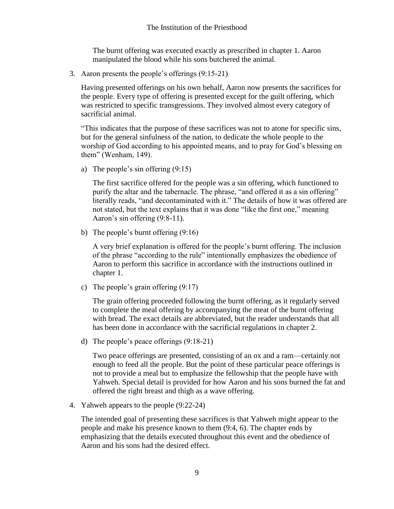The burnt offering was executed exactly as prescribed in chapter 1. Aaron manipulated the blood while his sons butchered the animal.

3. Aaron presents the people's offerings (9:15-21)

Having presented offerings on his own behalf, Aaron now presents the sacrifices for the people. Every type of offering is presented except for the guilt offering, which was restricted to specific transgressions. They involved almost every category of sacrificial animal.

"This indicates that the purpose of these sacrifices was not to atone for specific sins, but for the general sinfulness of the nation, to dedicate the whole people to the worship of God according to his appointed means, and to pray for God's blessing on them" (Wenham, 149).

a) The people's sin offering (9:15)

The first sacrifice offered for the people was a sin offering, which functioned to purify the altar and the tabernacle. The phrase, "and offered it as a sin offering" literally reads, "and decontaminated with it." The details of how it was offered are not stated, but the text explains that it was done "like the first one," meaning Aaron's sin offering (9:8-11).

b) The people's burnt offering (9:16)

A very brief explanation is offered for the people's burnt offering. The inclusion of the phrase "according to the rule" intentionally emphasizes the obedience of Aaron to perform this sacrifice in accordance with the instructions outlined in chapter 1.

c) The people's grain offering (9:17)

The grain offering proceeded following the burnt offering, as it regularly served to complete the meal offering by accompanying the meat of the burnt offering with bread. The exact details are abbreviated, but the reader understands that all has been done in accordance with the sacrificial regulations in chapter 2.

d) The people's peace offerings (9:18-21)

Two peace offerings are presented, consisting of an ox and a ram—certainly not enough to feed all the people. But the point of these particular peace offerings is not to provide a meal but to emphasize the fellowship that the people have with Yahweh. Special detail is provided for how Aaron and his sons burned the fat and offered the right breast and thigh as a wave offering.

4. Yahweh appears to the people (9:22-24)

The intended goal of presenting these sacrifices is that Yahweh might appear to the people and make his presence known to them (9:4, 6). The chapter ends by emphasizing that the details executed throughout this event and the obedience of Aaron and his sons had the desired effect.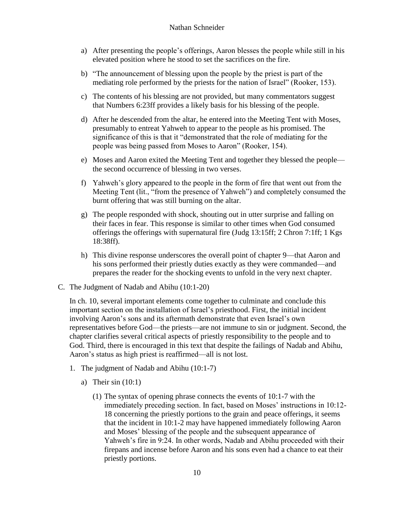- a) After presenting the people's offerings, Aaron blesses the people while still in his elevated position where he stood to set the sacrifices on the fire.
- b) "The announcement of blessing upon the people by the priest is part of the mediating role performed by the priests for the nation of Israel" (Rooker, 153).
- c) The contents of his blessing are not provided, but many commentators suggest that Numbers 6:23ff provides a likely basis for his blessing of the people.
- d) After he descended from the altar, he entered into the Meeting Tent with Moses, presumably to entreat Yahweh to appear to the people as his promised. The significance of this is that it "demonstrated that the role of mediating for the people was being passed from Moses to Aaron" (Rooker, 154).
- e) Moses and Aaron exited the Meeting Tent and together they blessed the people the second occurrence of blessing in two verses.
- f) Yahweh's glory appeared to the people in the form of fire that went out from the Meeting Tent (lit., "from the presence of Yahweh") and completely consumed the burnt offering that was still burning on the altar.
- g) The people responded with shock, shouting out in utter surprise and falling on their faces in fear. This response is similar to other times when God consumed offerings the offerings with supernatural fire (Judg 13:15ff; 2 Chron 7:1ff; 1 Kgs 18:38ff).
- h) This divine response underscores the overall point of chapter 9—that Aaron and his sons performed their priestly duties exactly as they were commanded—and prepares the reader for the shocking events to unfold in the very next chapter.
- C. The Judgment of Nadab and Abihu (10:1-20)

In ch. 10, several important elements come together to culminate and conclude this important section on the installation of Israel's priesthood. First, the initial incident involving Aaron's sons and its aftermath demonstrate that even Israel's own representatives before God—the priests—are not immune to sin or judgment. Second, the chapter clarifies several critical aspects of priestly responsibility to the people and to God. Third, there is encouraged in this text that despite the failings of Nadab and Abihu, Aaron's status as high priest is reaffirmed—all is not lost.

- 1. The judgment of Nadab and Abihu (10:1-7)
	- a) Their  $sin(10:1)$ 
		- (1) The syntax of opening phrase connects the events of 10:1-7 with the immediately preceding section. In fact, based on Moses' instructions in 10:12- 18 concerning the priestly portions to the grain and peace offerings, it seems that the incident in 10:1-2 may have happened immediately following Aaron and Moses' blessing of the people and the subsequent appearance of Yahweh's fire in 9:24. In other words, Nadab and Abihu proceeded with their firepans and incense before Aaron and his sons even had a chance to eat their priestly portions.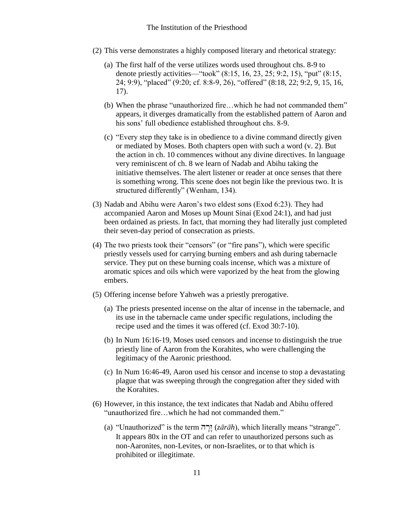- (2) This verse demonstrates a highly composed literary and rhetorical strategy:
	- (a) The first half of the verse utilizes words used throughout chs. 8-9 to denote priestly activities—"took" (8:15, 16, 23, 25; 9:2, 15), "put" (8:15, 24; 9:9), "placed" (9:20; cf. 8:8-9, 26), "offered" (8:18, 22; 9:2, 9, 15, 16, 17).
	- (b) When the phrase "unauthorized fire…which he had not commanded them" appears, it diverges dramatically from the established pattern of Aaron and his sons' full obedience established throughout chs. 8-9.
	- (c) "Every step they take is in obedience to a divine command directly given or mediated by Moses. Both chapters open with such a word (v. 2). But the action in ch. 10 commences without any divine directives. In language very reminiscent of ch. 8 we learn of Nadab and Abihu taking the initiative themselves. The alert listener or reader at once senses that there is something wrong. This scene does not begin like the previous two. It is structured differently" (Wenham, 134).
- (3) Nadab and Abihu were Aaron's two eldest sons (Exod 6:23). They had accompanied Aaron and Moses up Mount Sinai (Exod 24:1), and had just been ordained as priests. In fact, that morning they had literally just completed their seven-day period of consecration as priests.
- (4) The two priests took their "censors" (or "fire pans"), which were specific priestly vessels used for carrying burning embers and ash during tabernacle service. They put on these burning coals incense, which was a mixture of aromatic spices and oils which were vaporized by the heat from the glowing embers.
- (5) Offering incense before Yahweh was a priestly prerogative.
	- (a) The priests presented incense on the altar of incense in the tabernacle, and its use in the tabernacle came under specific regulations, including the recipe used and the times it was offered (cf. Exod 30:7-10).
	- (b) In Num 16:16-19, Moses used censors and incense to distinguish the true priestly line of Aaron from the Korahites, who were challenging the legitimacy of the Aaronic priesthood.
	- (c) In Num 16:46-49, Aaron used his censor and incense to stop a devastating plague that was sweeping through the congregation after they sided with the Korahites.
- (6) However, in this instance, the text indicates that Nadab and Abihu offered "unauthorized fire…which he had not commanded them."
	- (a) "Unauthorized" is the term hr"z" (*zārāh*), which literally means "strange". It appears 80x in the OT and can refer to unauthorized persons such as non-Aaronites, non-Levites, or non-Israelites, or to that which is prohibited or illegitimate.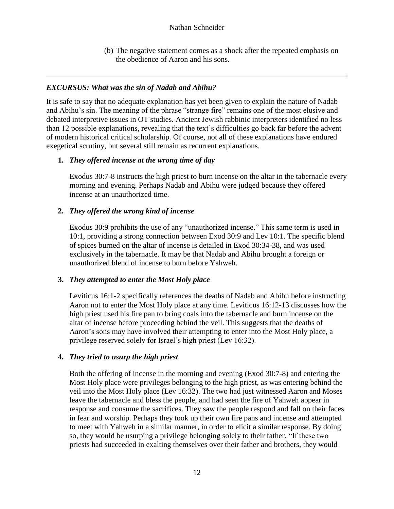(b) The negative statement comes as a shock after the repeated emphasis on the obedience of Aaron and his sons.

## *EXCURSUS: What was the sin of Nadab and Abihu?*

It is safe to say that no adequate explanation has yet been given to explain the nature of Nadab and Abihu's sin. The meaning of the phrase "strange fire" remains one of the most elusive and debated interpretive issues in OT studies. Ancient Jewish rabbinic interpreters identified no less than 12 possible explanations, revealing that the text's difficulties go back far before the advent of modern historical critical scholarship. Of course, not all of these explanations have endured exegetical scrutiny, but several still remain as recurrent explanations.

### **1.** *They offered incense at the wrong time of day*

Exodus 30:7-8 instructs the high priest to burn incense on the altar in the tabernacle every morning and evening. Perhaps Nadab and Abihu were judged because they offered incense at an unauthorized time.

### **2.** *They offered the wrong kind of incense*

Exodus 30:9 prohibits the use of any "unauthorized incense." This same term is used in 10:1, providing a strong connection between Exod 30:9 and Lev 10:1. The specific blend of spices burned on the altar of incense is detailed in Exod 30:34-38, and was used exclusively in the tabernacle. It may be that Nadab and Abihu brought a foreign or unauthorized blend of incense to burn before Yahweh.

#### **3.** *They attempted to enter the Most Holy place*

Leviticus 16:1-2 specifically references the deaths of Nadab and Abihu before instructing Aaron not to enter the Most Holy place at any time. Leviticus 16:12-13 discusses how the high priest used his fire pan to bring coals into the tabernacle and burn incense on the altar of incense before proceeding behind the veil. This suggests that the deaths of Aaron's sons may have involved their attempting to enter into the Most Holy place, a privilege reserved solely for Israel's high priest (Lev 16:32).

#### **4.** *They tried to usurp the high priest*

Both the offering of incense in the morning and evening (Exod 30:7-8) and entering the Most Holy place were privileges belonging to the high priest, as was entering behind the veil into the Most Holy place (Lev 16:32). The two had just witnessed Aaron and Moses leave the tabernacle and bless the people, and had seen the fire of Yahweh appear in response and consume the sacrifices. They saw the people respond and fall on their faces in fear and worship. Perhaps they took up their own fire pans and incense and attempted to meet with Yahweh in a similar manner, in order to elicit a similar response. By doing so, they would be usurping a privilege belonging solely to their father. "If these two priests had succeeded in exalting themselves over their father and brothers, they would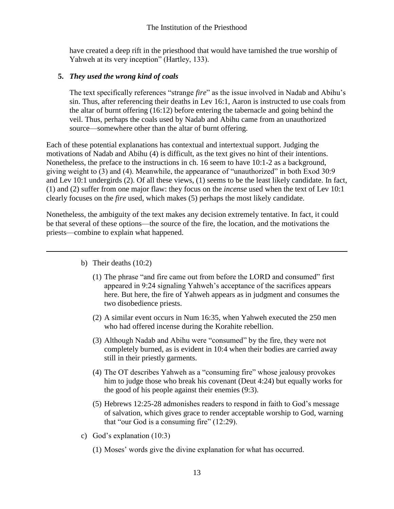have created a deep rift in the priesthood that would have tarnished the true worship of Yahweh at its very inception" (Hartley, 133).

## **5.** *They used the wrong kind of coals*

The text specifically references "strange *fire*" as the issue involved in Nadab and Abihu's sin. Thus, after referencing their deaths in Lev 16:1, Aaron is instructed to use coals from the altar of burnt offering (16:12) before entering the tabernacle and going behind the veil. Thus, perhaps the coals used by Nadab and Abihu came from an unauthorized source—somewhere other than the altar of burnt offering.

Each of these potential explanations has contextual and intertextual support. Judging the motivations of Nadab and Abihu (4) is difficult, as the text gives no hint of their intentions. Nonetheless, the preface to the instructions in ch. 16 seem to have 10:1-2 as a background, giving weight to (3) and (4). Meanwhile, the appearance of "unauthorized" in both Exod 30:9 and Lev 10:1 undergirds (2). Of all these views, (1) seems to be the least likely candidate. In fact, (1) and (2) suffer from one major flaw: they focus on the *incense* used when the text of Lev 10:1 clearly focuses on the *fire* used, which makes (5) perhaps the most likely candidate.

Nonetheless, the ambiguity of the text makes any decision extremely tentative. In fact, it could be that several of these options—the source of the fire, the location, and the motivations the priests—combine to explain what happened.

- b) Their deaths (10:2)
	- (1) The phrase "and fire came out from before the LORD and consumed" first appeared in 9:24 signaling Yahweh's acceptance of the sacrifices appears here. But here, the fire of Yahweh appears as in judgment and consumes the two disobedience priests.
	- (2) A similar event occurs in Num 16:35, when Yahweh executed the 250 men who had offered incense during the Korahite rebellion.
	- (3) Although Nadab and Abihu were "consumed" by the fire, they were not completely burned, as is evident in 10:4 when their bodies are carried away still in their priestly garments.
	- (4) The OT describes Yahweh as a "consuming fire" whose jealousy provokes him to judge those who break his covenant (Deut 4:24) but equally works for the good of his people against their enemies (9:3).
	- (5) Hebrews 12:25-28 admonishes readers to respond in faith to God's message of salvation, which gives grace to render acceptable worship to God, warning that "our God is a consuming fire" (12:29).
- c) God's explanation (10:3)
	- (1) Moses' words give the divine explanation for what has occurred.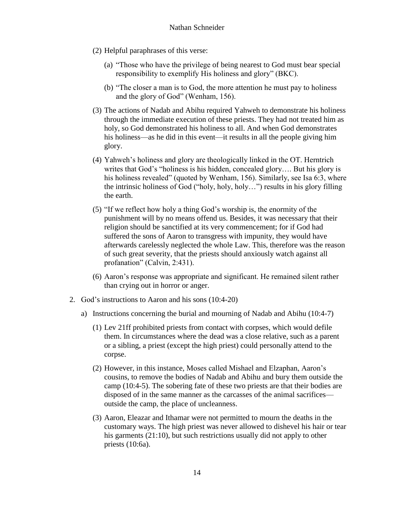- (2) Helpful paraphrases of this verse:
	- (a) "Those who have the privilege of being nearest to God must bear special responsibility to exemplify His holiness and glory" (BKC).
	- (b) "The closer a man is to God, the more attention he must pay to holiness and the glory of God" (Wenham, 156).
- (3) The actions of Nadab and Abihu required Yahweh to demonstrate his holiness through the immediate execution of these priests. They had not treated him as holy, so God demonstrated his holiness to all. And when God demonstrates his holiness—as he did in this event—it results in all the people giving him glory.
- (4) Yahweh's holiness and glory are theologically linked in the OT. Herntrich writes that God's "holiness is his hidden, concealed glory…. But his glory is his holiness revealed" (quoted by Wenham, 156). Similarly, see Isa 6:3, where the intrinsic holiness of God ("holy, holy, holy…") results in his glory filling the earth.
- (5) "If we reflect how holy a thing God's worship is, the enormity of the punishment will by no means offend us. Besides, it was necessary that their religion should be sanctified at its very commencement; for if God had suffered the sons of Aaron to transgress with impunity, they would have afterwards carelessly neglected the whole Law. This, therefore was the reason of such great severity, that the priests should anxiously watch against all profanation" (Calvin, 2:431).
- (6) Aaron's response was appropriate and significant. He remained silent rather than crying out in horror or anger.
- 2. God's instructions to Aaron and his sons (10:4-20)
	- a) Instructions concerning the burial and mourning of Nadab and Abihu (10:4-7)
		- (1) Lev 21ff prohibited priests from contact with corpses, which would defile them. In circumstances where the dead was a close relative, such as a parent or a sibling, a priest (except the high priest) could personally attend to the corpse.
		- (2) However, in this instance, Moses called Mishael and Elzaphan, Aaron's cousins, to remove the bodies of Nadab and Abihu and bury them outside the camp (10:4-5). The sobering fate of these two priests are that their bodies are disposed of in the same manner as the carcasses of the animal sacrifices outside the camp, the place of uncleanness.
		- (3) Aaron, Eleazar and Ithamar were not permitted to mourn the deaths in the customary ways. The high priest was never allowed to dishevel his hair or tear his garments (21:10), but such restrictions usually did not apply to other priests (10:6a).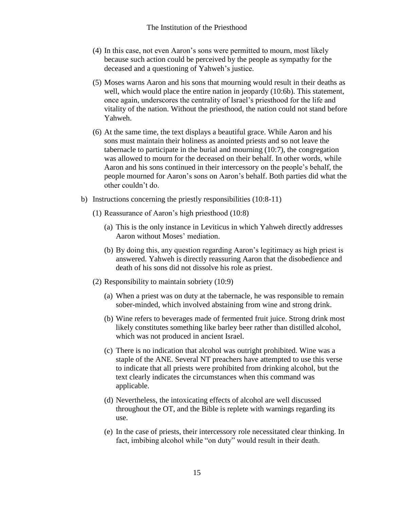- (4) In this case, not even Aaron's sons were permitted to mourn, most likely because such action could be perceived by the people as sympathy for the deceased and a questioning of Yahweh's justice.
- (5) Moses warns Aaron and his sons that mourning would result in their deaths as well, which would place the entire nation in jeopardy (10:6b). This statement, once again, underscores the centrality of Israel's priesthood for the life and vitality of the nation. Without the priesthood, the nation could not stand before Yahweh.
- (6) At the same time, the text displays a beautiful grace. While Aaron and his sons must maintain their holiness as anointed priests and so not leave the tabernacle to participate in the burial and mourning (10:7), the congregation was allowed to mourn for the deceased on their behalf. In other words, while Aaron and his sons continued in their intercessory on the people's behalf, the people mourned for Aaron's sons on Aaron's behalf. Both parties did what the other couldn't do.
- b) Instructions concerning the priestly responsibilities (10:8-11)
	- (1) Reassurance of Aaron's high priesthood (10:8)
		- (a) This is the only instance in Leviticus in which Yahweh directly addresses Aaron without Moses' mediation.
		- (b) By doing this, any question regarding Aaron's legitimacy as high priest is answered. Yahweh is directly reassuring Aaron that the disobedience and death of his sons did not dissolve his role as priest.
	- (2) Responsibility to maintain sobriety (10:9)
		- (a) When a priest was on duty at the tabernacle, he was responsible to remain sober-minded, which involved abstaining from wine and strong drink.
		- (b) Wine refers to beverages made of fermented fruit juice. Strong drink most likely constitutes something like barley beer rather than distilled alcohol, which was not produced in ancient Israel.
		- (c) There is no indication that alcohol was outright prohibited. Wine was a staple of the ANE. Several NT preachers have attempted to use this verse to indicate that all priests were prohibited from drinking alcohol, but the text clearly indicates the circumstances when this command was applicable.
		- (d) Nevertheless, the intoxicating effects of alcohol are well discussed throughout the OT, and the Bible is replete with warnings regarding its use.
		- (e) In the case of priests, their intercessory role necessitated clear thinking. In fact, imbibing alcohol while "on duty" would result in their death.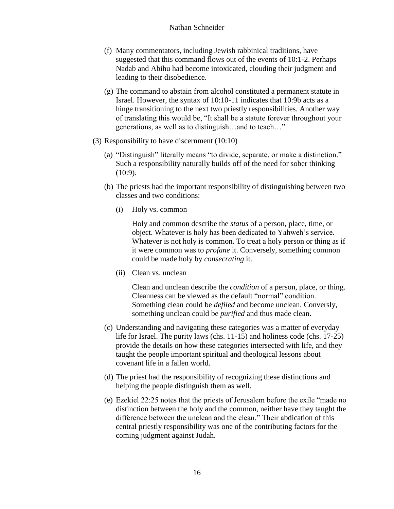#### Nathan Schneider

- (f) Many commentators, including Jewish rabbinical traditions, have suggested that this command flows out of the events of 10:1-2. Perhaps Nadab and Abihu had become intoxicated, clouding their judgment and leading to their disobedience.
- (g) The command to abstain from alcohol constituted a permanent statute in Israel. However, the syntax of 10:10-11 indicates that 10:9b acts as a hinge transitioning to the next two priestly responsibilities. Another way of translating this would be, "It shall be a statute forever throughout your generations, as well as to distinguish…and to teach…"
- (3) Responsibility to have discernment (10:10)
	- (a) "Distinguish" literally means "to divide, separate, or make a distinction." Such a responsibility naturally builds off of the need for sober thinking (10:9).
	- (b) The priests had the important responsibility of distinguishing between two classes and two conditions:
		- (i) Holy vs. common

Holy and common describe the *status* of a person, place, time, or object. Whatever is holy has been dedicated to Yahweh's service. Whatever is not holy is common. To treat a holy person or thing as if it were common was to *profane* it. Conversely, something common could be made holy by *consecrating* it.

(ii) Clean vs. unclean

Clean and unclean describe the *condition* of a person, place, or thing. Cleanness can be viewed as the default "normal" condition. Something clean could be *defiled* and become unclean. Conversly, something unclean could be *purified* and thus made clean.

- (c) Understanding and navigating these categories was a matter of everyday life for Israel. The purity laws (chs. 11-15) and holiness code (chs. 17-25) provide the details on how these categories intersected with life, and they taught the people important spiritual and theological lessons about covenant life in a fallen world.
- (d) The priest had the responsibility of recognizing these distinctions and helping the people distinguish them as well.
- (e) Ezekiel 22:25 notes that the priests of Jerusalem before the exile "made no distinction between the holy and the common, neither have they taught the difference between the unclean and the clean." Their abdication of this central priestly responsibility was one of the contributing factors for the coming judgment against Judah.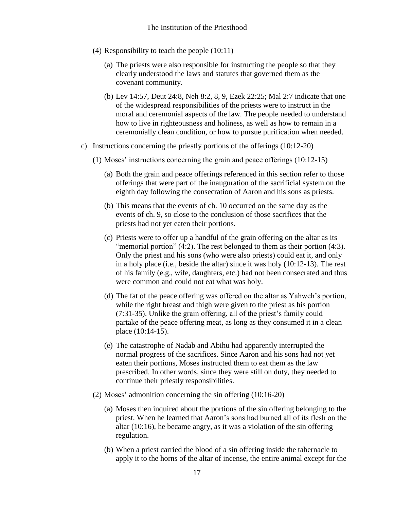- (4) Responsibility to teach the people (10:11)
	- (a) The priests were also responsible for instructing the people so that they clearly understood the laws and statutes that governed them as the covenant community.
	- (b) Lev 14:57, Deut 24:8, Neh 8:2, 8, 9, Ezek 22:25; Mal 2:7 indicate that one of the widespread responsibilities of the priests were to instruct in the moral and ceremonial aspects of the law. The people needed to understand how to live in righteousness and holiness, as well as how to remain in a ceremonially clean condition, or how to pursue purification when needed.
- c) Instructions concerning the priestly portions of the offerings (10:12-20)
	- (1) Moses' instructions concerning the grain and peace offerings (10:12-15)
		- (a) Both the grain and peace offerings referenced in this section refer to those offerings that were part of the inauguration of the sacrificial system on the eighth day following the consecration of Aaron and his sons as priests.
		- (b) This means that the events of ch. 10 occurred on the same day as the events of ch. 9, so close to the conclusion of those sacrifices that the priests had not yet eaten their portions.
		- (c) Priests were to offer up a handful of the grain offering on the altar as its "memorial portion" (4:2). The rest belonged to them as their portion (4:3). Only the priest and his sons (who were also priests) could eat it, and only in a holy place (i.e., beside the altar) since it was holy (10:12-13). The rest of his family (e.g., wife, daughters, etc.) had not been consecrated and thus were common and could not eat what was holy.
		- (d) The fat of the peace offering was offered on the altar as Yahweh's portion, while the right breast and thigh were given to the priest as his portion (7:31-35). Unlike the grain offering, all of the priest's family could partake of the peace offering meat, as long as they consumed it in a clean place (10:14-15).
		- (e) The catastrophe of Nadab and Abihu had apparently interrupted the normal progress of the sacrifices. Since Aaron and his sons had not yet eaten their portions, Moses instructed them to eat them as the law prescribed. In other words, since they were still on duty, they needed to continue their priestly responsibilities.
	- (2) Moses' admonition concerning the sin offering (10:16-20)
		- (a) Moses then inquired about the portions of the sin offering belonging to the priest. When he learned that Aaron's sons had burned all of its flesh on the altar (10:16), he became angry, as it was a violation of the sin offering regulation.
		- (b) When a priest carried the blood of a sin offering inside the tabernacle to apply it to the horns of the altar of incense, the entire animal except for the